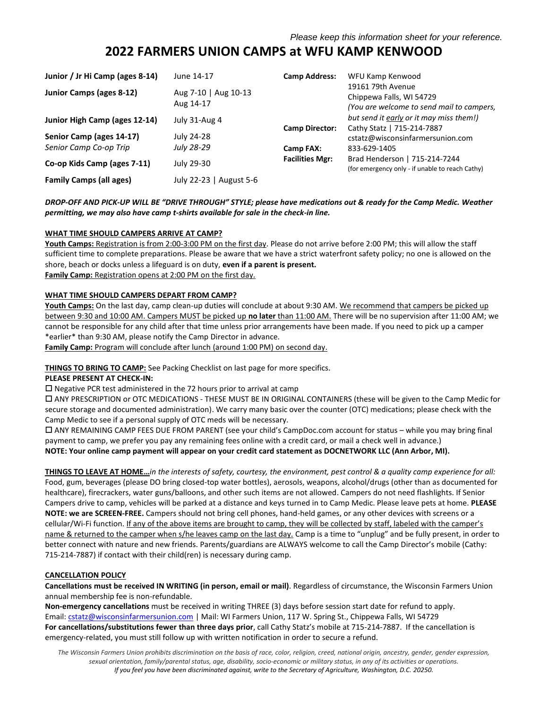# **2022 FARMERS UNION CAMPS at WFU KAMP KENWOOD**

| Junior / Jr Hi Camp (ages 8-14) | June 14-17                        | <b>Camp Address:</b>   | WFU Kamp Kenwood                                                                           |
|---------------------------------|-----------------------------------|------------------------|--------------------------------------------------------------------------------------------|
| <b>Junior Camps (ages 8-12)</b> | Aug 7-10   Aug 10-13<br>Aug 14-17 |                        | 19161 79th Avenue<br>Chippewa Falls, WI 54729<br>(You are welcome to send mail to campers, |
| Junior High Camp (ages 12-14)   | July 31-Aug 4                     | <b>Camp Director:</b>  | but send it early or it may miss them!)<br>Cathy Statz   715-214-7887                      |
| Senior Camp (ages 14-17)        | July 24-28                        |                        | cstatz@wisconsinfarmersunion.com                                                           |
| Senior Camp Co-op Trip          | July 28-29                        | Camp FAX:              | 833-629-1405                                                                               |
| Co-op Kids Camp (ages 7-11)     | July 29-30                        | <b>Facilities Mgr:</b> | Brad Henderson   715-214-7244<br>(for emergency only - if unable to reach Cathy)           |
| <b>Family Camps (all ages)</b>  | July 22-23   August 5-6           |                        |                                                                                            |

### *DROP-OFF AND PICK-UP WILL BE "DRIVE THROUGH" STYLE; please have medications out & ready for the Camp Medic. Weather permitting, we may also have camp t-shirts available for sale in the check-in line.*

### **WHAT TIME SHOULD CAMPERS ARRIVE AT CAMP?**

**Youth Camps:** Registration is from 2:00-3:00 PM on the first day. Please do not arrive before 2:00 PM; this will allow the staff sufficient time to complete preparations. Please be aware that we have a strict waterfront safety policy; no one is allowed on the shore, beach or docks unless a lifeguard is on duty, **even if a parent is present.** Family Camp: Registration opens at 2:00 PM on the first day.

### **WHAT TIME SHOULD CAMPERS DEPART FROM CAMP?**

**Youth Camps:** On the last day, camp clean-up duties will conclude at about 9:30 AM. We recommend that campers be picked up between 9:30 and 10:00 AM. Campers MUST be picked up **no later** than 11:00 AM. There will be no supervision after 11:00 AM; we cannot be responsible for any child after that time unless prior arrangements have been made. If you need to pick up a camper \*earlier\* than 9:30 AM, please notify the Camp Director in advance.

Family Camp: Program will conclude after lunch (around 1:00 PM) on second day.

#### **THINGS TO BRING TO CAMP:** See Packing Checklist on last page for more specifics.

#### **PLEASE PRESENT AT CHECK-IN:**

 $\square$  Negative PCR test administered in the 72 hours prior to arrival at camp

 ANY PRESCRIPTION or OTC MEDICATIONS - THESE MUST BE IN ORIGINAL CONTAINERS (these will be given to the Camp Medic for secure storage and documented administration). We carry many basic over the counter (OTC) medications; please check with the Camp Medic to see if a personal supply of OTC meds will be necessary.

 ANY REMAINING CAMP FEES DUE FROM PARENT (see your child's CampDoc.com account for status – while you may bring final payment to camp, we prefer you pay any remaining fees online with a credit card, or mail a check well in advance.) **NOTE: Your online camp payment will appear on your credit card statement as DOCNETWORK LLC (Ann Arbor, MI).**

**THINGS TO LEAVE AT HOME…***in the interests of safety, courtesy, the environment, pest control & a quality camp experience for all:*  Food, gum, beverages (please DO bring closed-top water bottles), aerosols, weapons, alcohol/drugs (other than as documented for healthcare), firecrackers, water guns/balloons, and other such items are not allowed. Campers do not need flashlights. If Senior Campers drive to camp, vehicles will be parked at a distance and keys turned in to Camp Medic. Please leave pets at home. **PLEASE NOTE: we are SCREEN-FREE.** Campers should not bring cell phones, hand-held games, or any other devices with screens or a cellular/Wi-Fi function. If any of the above items are brought to camp, they will be collected by staff, labeled with the camper's name & returned to the camper when s/he leaves camp on the last day. Camp is a time to "unplug" and be fully present, in order to better connect with nature and new friends. Parents/guardians are ALWAYS welcome to call the Camp Director's mobile (Cathy: 715-214-7887) if contact with their child(ren) is necessary during camp.

#### **CANCELLATION POLICY**

**Cancellations must be received IN WRITING (in person, email or mail)**. Regardless of circumstance, the Wisconsin Farmers Union annual membership fee is non-refundable.

**Non-emergency cancellations** must be received in writing THREE (3) days before session start date for refund to apply. Email[: cstatz@wisconsinfarmersunion.com](mailto:cstatz@wisconsinfarmersunion.com) | Mail: WI Farmers Union, 117 W. Spring St., Chippewa Falls, WI 54729 **For cancellations/substitutions fewer than three days prior**, call Cathy Statz's mobile at 715-214-7887. If the cancellation is emergency-related, you must still follow up with written notification in order to secure a refund.

*The Wisconsin Farmers Union prohibits discrimination on the basis of race, color, religion, creed, national origin, ancestry, gender, gender expression, sexual orientation, family/parental status, age, disability, socio-economic or military status, in any of its activities or operations. If you feel you have been discriminated against, write to the Secretary of Agriculture, Washington, D.C. 20250.*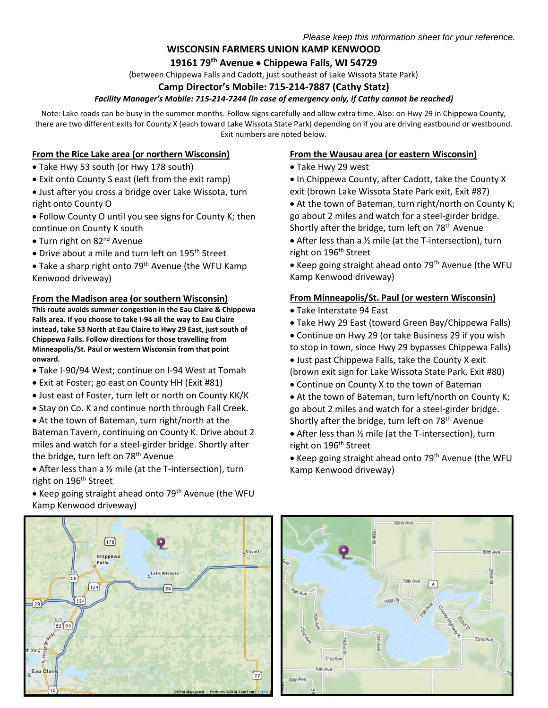## **WISCONSIN FARMERS UNION KAMP KENWOOD**

## **19161 79th Avenue Chippewa Falls, WI 54729**

(between Chippewa Falls and Cadott, just southeast of Lake Wissota State Park)

## **Camp Director's Mobile: 715-214-7887 (Cathy Statz)**

## *Facility Manager's Mobile: 715-214-7244 (in case of emergency only, if Cathy cannot be reached)*

Note: Lake roads can be busy in the summer months. Follow signs carefully and allow extra time. Also: on Hwy 29 in Chippewa County, there are two different exits for County X (each toward Lake Wissota State Park) depending on if you are driving eastbound or westbound. Exit numbers are noted below.

Cadott

 $\left(27\right)$ 

@2014 MapQuest - Portions @2014 TomTom

## **From the Rice Lake area (or northern Wisconsin)**

- Take Hwy 53 south (or Hwy 178 south)
- Exit onto County S east (left from the exit ramp)
- Just after you cross a bridge over Lake Wissota, turn right onto County O
- Follow County O until you see signs for County K; then continue on County K south
- Turn right on 82<sup>nd</sup> Avenue
- Drive about a mile and turn left on 195<sup>th</sup> Street
- Take a sharp right onto 79<sup>th</sup> Avenue (the WFU Kamp Kenwood driveway)

### **From the Madison area (or southern Wisconsin)**

**This route avoids summer congestion in the Eau Claire & Chippewa Falls area. If you choose to take I-94 all the way to Eau Claire instead, take 53 North at Eau Claire to Hwy 29 East, just south of Chippewa Falls. Follow directions for those travelling from Minneapolis/St. Paul or western Wisconsin from that point onward.**

- Take I-90/94 West; continue on I-94 West at Tomah
- Exit at Foster; go east on County HH (Exit #81)
- Just east of Foster, turn left or north on County KK/K
- Stay on Co. K and continue north through Fall Creek.
- At the town of Bateman, turn right/north at the Bateman Tavern, continuing on County K. Drive about 2 miles and watch for a steel-girder bridge. Shortly after the bridge, turn left on 78<sup>th</sup> Avenue
- After less than a ½ mile (at the T-intersection), turn right on 196<sup>th</sup> Street

 $[178]$ 

Chippewa Falls

 $\int$ 124

 $(53)53$ 

xing

Eau Clair

 $12$ 

• Keep going straight ahead onto 79<sup>th</sup> Avenue (the WFU Kamp Kenwood driveway)

Lake Wissota

## **From the Wausau area (or eastern Wisconsin)**

- Take Hwy 29 west
- In Chippewa County, after Cadott, take the County X exit (brown Lake Wissota State Park exit, Exit #87)
- At the town of Bateman, turn right/north on County K; go about 2 miles and watch for a steel-girder bridge. Shortly after the bridge, turn left on  $78<sup>th</sup>$  Avenue
- After less than a 1/2 mile (at the T-intersection), turn right on 196<sup>th</sup> Street
- Keep going straight ahead onto 79<sup>th</sup> Avenue (the WFU Kamp Kenwood driveway)

## **From Minneapolis/St. Paul (or western Wisconsin)**

- Take Interstate 94 East
- Take Hwy 29 East (toward Green Bay/Chippewa Falls)
- Continue on Hwy 29 (or take Business 29 if you wish to stop in town, since Hwy 29 bypasses Chippewa Falls)
- Just past Chippewa Falls, take the County X exit (brown exit sign for Lake Wissota State Park, Exit #80)
- Continue on County X to the town of Bateman
- At the town of Bateman, turn left/north on County K; go about 2 miles and watch for a steel-girder bridge. Shortly after the bridge, turn left on 78<sup>th</sup> Avenue
- After less than ½ mile (at the T-intersection), turn right on 196<sup>th</sup> Street
- Keep going straight ahead onto 79<sup>th</sup> Avenue (the WFU Kamp Kenwood driveway)